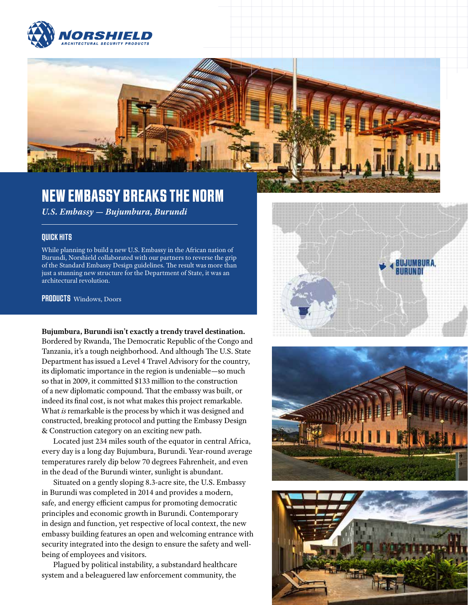



# NEW EMBASSY BREAKS THE NORM

*U.S. Embassy — Bujumbura, Burundi*

### QUICK HITS

While planning to build a new U.S. Embassy in the African nation of Burundi, Norshield collaborated with our partners to reverse the grip of the Standard Embassy Design guidelines. The result was more than just a stunning new structure for the Department of State, it was an architectural revolution.

PRODUCTS Windows, Doors

#### **Bujumbura, Burundi isn't exactly a trendy travel destination.**

Bordered by Rwanda, The Democratic Republic of the Congo and Tanzania, it's a tough neighborhood. And although The U.S. State Department has issued a Level 4 Travel Advisory for the country, its diplomatic importance in the region is undeniable—so much so that in 2009, it committed \$133 million to the construction of a new diplomatic compound. That the embassy was built, or indeed its final cost, is not what makes this project remarkable. What *is* remarkable is the process by which it was designed and constructed, breaking protocol and putting the Embassy Design & Construction category on an exciting new path.

Located just 234 miles south of the equator in central Africa, every day is a long day Bujumbura, Burundi. Year-round average temperatures rarely dip below 70 degrees Fahrenheit, and even in the dead of the Burundi winter, sunlight is abundant.

Situated on a gently sloping 8.3-acre site, the U.S. Embassy in Burundi was completed in 2014 and provides a modern, safe, and energy efficient campus for promoting democratic principles and economic growth in Burundi. Contemporary in design and function, yet respective of local context, the new embassy building features an open and welcoming entrance with security integrated into the design to ensure the safety and wellbeing of employees and visitors.

Plagued by political instability, a substandard healthcare system and a beleaguered law enforcement community, the